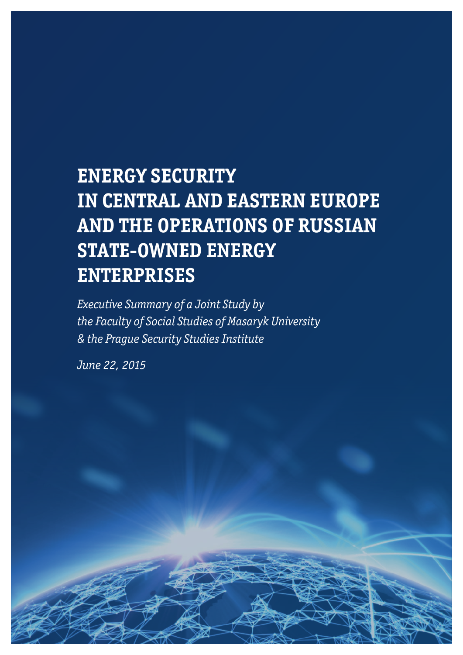# **ENERGY SECURITY IN CENTRAL AND EASTERN EUROPE AND THE OPERATIONS OF RUSSIAN STATE-OWNED ENERGY ENTERPRISES**

— 1 —

*Executive Summary of a Joint Study by the Faculty of Social Studies of Masaryk University & the Prague Security Studies Institute*

*June 22, 2015*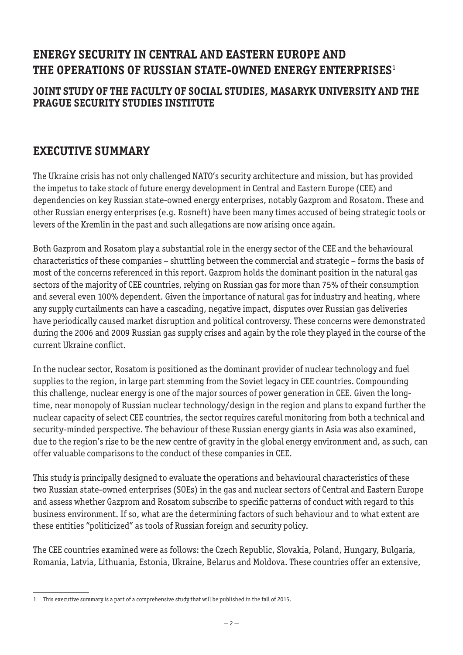# **ENERGY SECURITY IN CENTRAL AND EASTERN EUROPE AND THE OPERATIONS OF RUSSIAN STATE-OWNED ENERGY ENTERPRISES**<sup>1</sup>

#### **JOINT STUDY OF THE FACULTY OF SOCIAL STUDIES, MASARYK UNIVERSITY AND THE PRAGUE SECURITY STUDIES INSTITUTE**

# **EXECUTIVE SUMMARY**

The Ukraine crisis has not only challenged NATO's security architecture and mission, but has provided the impetus to take stock of future energy development in Central and Eastern Europe (CEE) and dependencies on key Russian state-owned energy enterprises, notably Gazprom and Rosatom. These and other Russian energy enterprises (e.g. Rosneft) have been many times accused of being strategic tools or levers of the Kremlin in the past and such allegations are now arising once again.

Both Gazprom and Rosatom play a substantial role in the energy sector of the CEE and the behavioural characteristics of these companies – shuttling between the commercial and strategic – forms the basis of most of the concerns referenced in this report. Gazprom holds the dominant position in the natural gas sectors of the majority of CEE countries, relying on Russian gas for more than 75% of their consumption and several even 100% dependent. Given the importance of natural gas for industry and heating, where any supply curtailments can have a cascading, negative impact, disputes over Russian gas deliveries have periodically caused market disruption and political controversy. These concerns were demonstrated during the 2006 and 2009 Russian gas supply crises and again by the role they played in the course of the current Ukraine conflict.

In the nuclear sector, Rosatom is positioned as the dominant provider of nuclear technology and fuel supplies to the region, in large part stemming from the Soviet legacy in CEE countries. Compounding this challenge, nuclear energy is one of the major sources of power generation in CEE. Given the longtime, near monopoly of Russian nuclear technology/design in the region and plans to expand further the nuclear capacity of select CEE countries, the sector requires careful monitoring from both a technical and security-minded perspective. The behaviour of these Russian energy giants in Asia was also examined, due to the region's rise to be the new centre of gravity in the global energy environment and, as such, can offer valuable comparisons to the conduct of these companies in CEE.

This study is principally designed to evaluate the operations and behavioural characteristics of these two Russian state-owned enterprises (SOEs) in the gas and nuclear sectors of Central and Eastern Europe and assess whether Gazprom and Rosatom subscribe to specific patterns of conduct with regard to this business environment. If so, what are the determining factors of such behaviour and to what extent are these entities "politicized" as tools of Russian foreign and security policy.

The CEE countries examined were as follows: the Czech Republic, Slovakia, Poland, Hungary, Bulgaria, Romania, Latvia, Lithuania, Estonia, Ukraine, Belarus and Moldova. These countries offer an extensive,

<sup>1</sup> This executive summary is a part of a comprehensive study that will be published in the fall of 2015.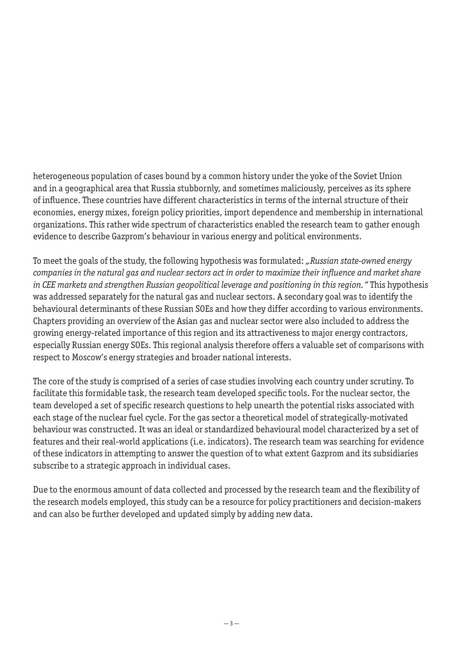heterogeneous population of cases bound by a common history under the yoke of the Soviet Union and in a geographical area that Russia stubbornly, and sometimes maliciously, perceives as its sphere of influence. These countries have different characteristics in terms of the internal structure of their economies, energy mixes, foreign policy priorities, import dependence and membership in international organizations. This rather wide spectrum of characteristics enabled the research team to gather enough evidence to describe Gazprom's behaviour in various energy and political environments.

To meet the goals of the study, the following hypothesis was formulated: *"Russian state-owned energy companies in the natural gas and nuclear sectors act in order to maximize their influence and market share in CEE markets and strengthen Russian geopolitical leverage and positioning in this region."* This hypothesis was addressed separately for the natural gas and nuclear sectors. A secondary goal was to identify the behavioural determinants of these Russian SOEs and how they differ according to various environments. Chapters providing an overview of the Asian gas and nuclear sector were also included to address the growing energy-related importance of this region and its attractiveness to major energy contractors, especially Russian energy SOEs. This regional analysis therefore offers a valuable set of comparisons with respect to Moscow's energy strategies and broader national interests.

The core of the study is comprised of a series of case studies involving each country under scrutiny. To facilitate this formidable task, the research team developed specific tools. For the nuclear sector, the team developed a set of specific research questions to help unearth the potential risks associated with each stage of the nuclear fuel cycle. For the gas sector a theoretical model of strategically-motivated behaviour was constructed. It was an ideal or standardized behavioural model characterized by a set of features and their real-world applications (i.e. indicators). The research team was searching for evidence of these indicators in attempting to answer the question of to what extent Gazprom and its subsidiaries subscribe to a strategic approach in individual cases.

Due to the enormous amount of data collected and processed by the research team and the flexibility of the research models employed, this study can be a resource for policy practitioners and decision-makers and can also be further developed and updated simply by adding new data.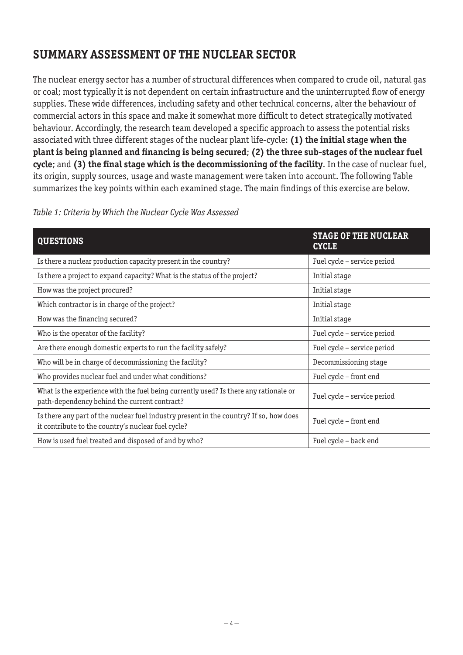# **SUMMARY ASSESSMENT OF THE NUCLEAR SECTOR**

The nuclear energy sector has a number of structural differences when compared to crude oil, natural gas or coal; most typically it is not dependent on certain infrastructure and the uninterrupted flow of energy supplies. These wide differences, including safety and other technical concerns, alter the behaviour of commercial actors in this space and make it somewhat more difficult to detect strategically motivated behaviour. Accordingly, the research team developed a specific approach to assess the potential risks associated with three different stages of the nuclear plant life-cycle: **(1) the initial stage when the plant is being planned and financing is being secured**; **(2) the three sub-stages of the nuclear fuel cycle**; and **(3) the final stage which is the decommissioning of the facility**. In the case of nuclear fuel, its origin, supply sources, usage and waste management were taken into account. The following Table summarizes the key points within each examined stage. The main findings of this exercise are below.

| <b>QUESTIONS</b>                                                                                                                             | <b>STAGE OF THE NUCLEAR</b><br><b>CYCLE</b> |
|----------------------------------------------------------------------------------------------------------------------------------------------|---------------------------------------------|
| Is there a nuclear production capacity present in the country?                                                                               | Fuel cycle - service period                 |
| Is there a project to expand capacity? What is the status of the project?                                                                    | Initial stage                               |
| How was the project procured?                                                                                                                | Initial stage                               |
| Which contractor is in charge of the project?                                                                                                | Initial stage                               |
| How was the financing secured?                                                                                                               | Initial stage                               |
| Who is the operator of the facility?                                                                                                         | Fuel cycle - service period                 |
| Are there enough domestic experts to run the facility safely?                                                                                | Fuel cycle – service period                 |
| Who will be in charge of decommissioning the facility?                                                                                       | Decommissioning stage                       |
| Who provides nuclear fuel and under what conditions?                                                                                         | Fuel cycle - front end                      |
| What is the experience with the fuel being currently used? Is there any rationale or<br>path-dependency behind the current contract?         | Fuel cycle - service period                 |
| Is there any part of the nuclear fuel industry present in the country? If so, how does<br>it contribute to the country's nuclear fuel cycle? | Fuel cycle - front end                      |
| How is used fuel treated and disposed of and by who?                                                                                         | Fuel cycle - back end                       |

#### *Table 1: Criteria by Which the Nuclear Cycle Was Assessed*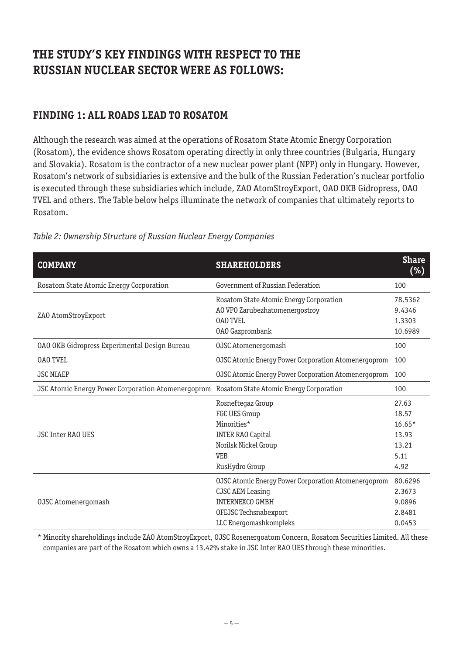# **THE STUDY'S KEY FINDINGS WITH RESPECT TO THE RUSSIAN NUCLEAR SECTOR WERE AS FOLLOWS:**

## **FINDING 1: ALL ROADS LEAD TO ROSATOM**

Although the research was aimed at the operations of Rosatom State Atomic Energy Corporation (Rosatom), the evidence shows Rosatom operating directly in only three countries (Bulgaria, Hungary and Slovakia). Rosatom is the contractor of a new nuclear power plant (NPP) only in Hungary. However, Rosatom's network of subsidiaries is extensive and the bulk of the Russian Federation's nuclear portfolio is executed through these subsidiaries which include, ZAO AtomStroyExport, OAO OKB Gidropress, OAO TVEL and others. The Table below helps illuminate the network of companies that ultimately reports to Rosatom.

| <b>COMPANY</b>                                     | <b>SHAREHOLDERS</b>                                        | <b>Share</b><br>$(\%)$ |
|----------------------------------------------------|------------------------------------------------------------|------------------------|
| Rosatom State Atomic Energy Corporation            | Government of Russian Federation                           | 100                    |
|                                                    | Rosatom State Atomic Energy Corporation                    | 78.5362                |
| ZAO AtomStroyExport                                | AO VPO Zarubezhatomenergostroy                             | 9.4346                 |
|                                                    | <b>OAO TVEL</b>                                            | 1.3303                 |
|                                                    | <b>0A0 Gazprombank</b>                                     | 10.6989                |
| 0A0 OKB Gidropress Experimental Design Bureau      | 0JSC Atomenergomash                                        | 100                    |
| <b>OAO TVEL</b>                                    | <b>OJSC Atomic Energy Power Corporation Atomenergoprom</b> | 100                    |
| <b>JSC NIAEP</b>                                   | OJSC Atomic Energy Power Corporation Atomenergoprom        | 100                    |
| JSC Atomic Energy Power Corporation Atomenergoprom | Rosatom State Atomic Energy Corporation                    | 100                    |
|                                                    | Rosneftegaz Group                                          | 27.63                  |
|                                                    | FGC UES Group                                              | 18.57                  |
|                                                    | Minorities*                                                | $16.65*$               |
| <b>JSC Inter RAO UES</b>                           | <b>INTER RAO Capital</b>                                   | 13.93                  |
|                                                    | Norilsk Nickel Group                                       | 13.21                  |
|                                                    | <b>VEB</b>                                                 | 5.11                   |
|                                                    | RusHydro Group                                             | 4.92                   |
|                                                    | OJSC Atomic Energy Power Corporation Atomenergoprom        | 80.6296                |
|                                                    | <b>CJSC AEM Leasing</b>                                    | 2.3673                 |
| 0JSC Atomenergomash                                | <b>INTERNEXCO GMBH</b>                                     | 9.0896                 |
|                                                    | OFEJSC Techsnabexport                                      | 2.8481                 |
|                                                    | LLC Energomashkompleks                                     | 0.0453                 |

#### *Table 2: Ownership Structure of Russian Nuclear Energy Companies*

\* Minority shareholdings include ZAO AtomStroyExport, OJSC Rosenergoatom Concern, Rosatom Securities Limited. All these companies are part of the Rosatom which owns a 13.42% stake in JSC Inter RAO UES through these minorities.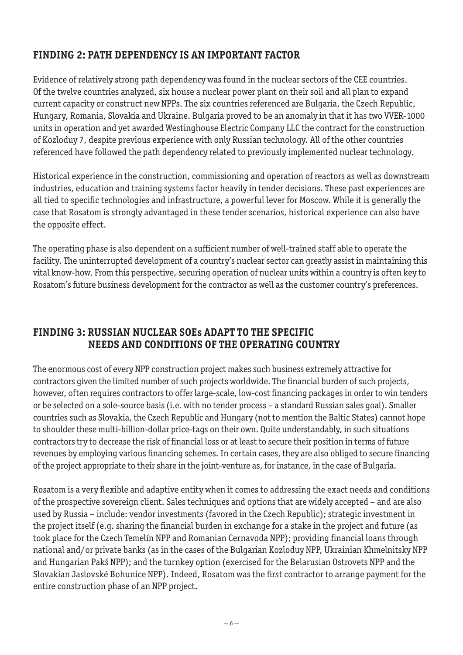# **FINDING 2: PATH DEPENDENCY IS AN IMPORTANT FACTOR**

Evidence of relatively strong path dependency was found in the nuclear sectors of the CEE countries. Of the twelve countries analyzed, six house a nuclear power plant on their soil and all plan to expand current capacity or construct new NPPs. The six countries referenced are Bulgaria, the Czech Republic, Hungary, Romania, Slovakia and Ukraine. Bulgaria proved to be an anomaly in that it has two VVER-1000 units in operation and yet awarded Westinghouse Electric Company LLC the contract for the construction of Kozloduy 7, despite previous experience with only Russian technology. All of the other countries referenced have followed the path dependency related to previously implemented nuclear technology.

Historical experience in the construction, commissioning and operation of reactors as well as downstream industries, education and training systems factor heavily in tender decisions. These past experiences are all tied to specific technologies and infrastructure, a powerful lever for Moscow. While it is generally the case that Rosatom is strongly advantaged in these tender scenarios, historical experience can also have the opposite effect.

The operating phase is also dependent on a sufficient number of well-trained staff able to operate the facility. The uninterrupted development of a country's nuclear sector can greatly assist in maintaining this vital know-how. From this perspective, securing operation of nuclear units within a country is often key to Rosatom's future business development for the contractor as well as the customer country's preferences.

# **FINDING 3: RUSSIAN NUCLEAR SOEs ADAPT TO THE SPECIFIC NEEDS AND CONDITIONS OF THE OPERATING COUNTRY**

The enormous cost of every NPP construction project makes such business extremely attractive for contractors given the limited number of such projects worldwide. The financial burden of such projects, however, often requires contractors to offer large-scale, low-cost financing packages in order to win tenders or be selected on a sole-source basis (i.e. with no tender process – a standard Russian sales goal). Smaller countries such as Slovakia, the Czech Republic and Hungary (not to mention the Baltic States) cannot hope to shoulder these multi-billion-dollar price-tags on their own. Quite understandably, in such situations contractors try to decrease the risk of financial loss or at least to secure their position in terms of future revenues by employing various financing schemes. In certain cases, they are also obliged to secure financing of the project appropriate to their share in the joint-venture as, for instance, in the case of Bulgaria.

Rosatom is a very flexible and adaptive entity when it comes to addressing the exact needs and conditions of the prospective sovereign client. Sales techniques and options that are widely accepted – and are also used by Russia – include: vendor investments (favored in the Czech Republic); strategic investment in the project itself (e.g. sharing the financial burden in exchange for a stake in the project and future (as took place for the Czech Temelín NPP and Romanian Cernavoda NPP); providing financial loans through national and/or private banks (as in the cases of the Bulgarian Kozloduy NPP, Ukrainian Khmelnitsky NPP and Hungarian Pakś NPP); and the turnkey option (exercised for the Belarusian Ostrovets NPP and the Slovakian Jaslovské Bohunice NPP). Indeed, Rosatom was the first contractor to arrange payment for the entire construction phase of an NPP project.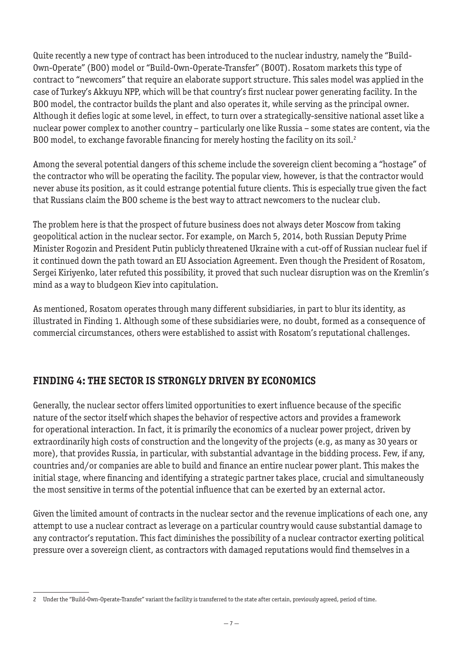Quite recently a new type of contract has been introduced to the nuclear industry, namely the "Build-Own-Operate" (BOO) model or "Build-Own-Operate-Transfer" (BOOT). Rosatom markets this type of contract to "newcomers" that require an elaborate support structure. This sales model was applied in the case of Turkey's Akkuyu NPP, which will be that country's first nuclear power generating facility. In the BOO model, the contractor builds the plant and also operates it, while serving as the principal owner. Although it defies logic at some level, in effect, to turn over a strategically-sensitive national asset like a nuclear power complex to another country – particularly one like Russia – some states are content, via the BOO model, to exchange favorable financing for merely hosting the facility on its soil.<sup>2</sup>

Among the several potential dangers of this scheme include the sovereign client becoming a "hostage" of the contractor who will be operating the facility. The popular view, however, is that the contractor would never abuse its position, as it could estrange potential future clients. This is especially true given the fact that Russians claim the BOO scheme is the best way to attract newcomers to the nuclear club.

The problem here is that the prospect of future business does not always deter Moscow from taking geopolitical action in the nuclear sector. For example, on March 5, 2014, both Russian Deputy Prime Minister Rogozin and President Putin publicly threatened Ukraine with a cut-off of Russian nuclear fuel if it continued down the path toward an EU Association Agreement. Even though the President of Rosatom, Sergei Kiriyenko, later refuted this possibility, it proved that such nuclear disruption was on the Kremlin's mind as a way to bludgeon Kiev into capitulation.

As mentioned, Rosatom operates through many different subsidiaries, in part to blur its identity, as illustrated in Finding 1. Although some of these subsidiaries were, no doubt, formed as a consequence of commercial circumstances, others were established to assist with Rosatom's reputational challenges.

# **FINDING 4: THE SECTOR IS STRONGLY DRIVEN BY ECONOMICS**

Generally, the nuclear sector offers limited opportunities to exert influence because of the specific nature of the sector itself which shapes the behavior of respective actors and provides a framework for operational interaction. In fact, it is primarily the economics of a nuclear power project, driven by extraordinarily high costs of construction and the longevity of the projects (e.g, as many as 30 years or more), that provides Russia, in particular, with substantial advantage in the bidding process. Few, if any, countries and/or companies are able to build and finance an entire nuclear power plant. This makes the initial stage, where financing and identifying a strategic partner takes place, crucial and simultaneously the most sensitive in terms of the potential influence that can be exerted by an external actor.

Given the limited amount of contracts in the nuclear sector and the revenue implications of each one, any attempt to use a nuclear contract as leverage on a particular country would cause substantial damage to any contractor's reputation. This fact diminishes the possibility of a nuclear contractor exerting political pressure over a sovereign client, as contractors with damaged reputations would find themselves in a

<sup>2</sup> Under the "Build-Own-Operate-Transfer" variant the facility is transferred to the state after certain, previously agreed, period of time.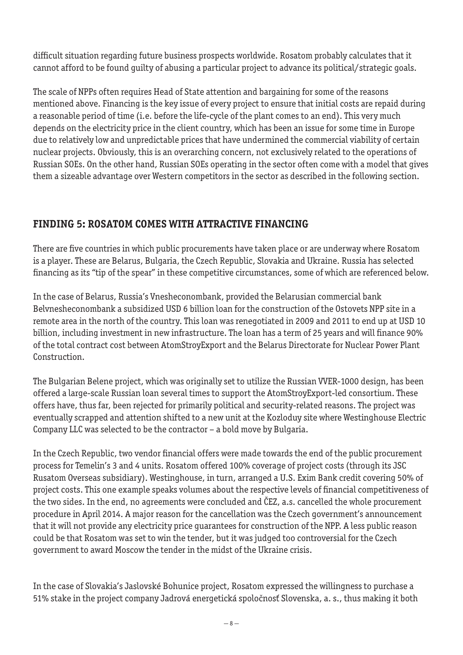difficult situation regarding future business prospects worldwide. Rosatom probably calculates that it cannot afford to be found guilty of abusing a particular project to advance its political/strategic goals.

The scale of NPPs often requires Head of State attention and bargaining for some of the reasons mentioned above. Financing is the key issue of every project to ensure that initial costs are repaid during a reasonable period of time (i.e. before the life-cycle of the plant comes to an end). This very much depends on the electricity price in the client country, which has been an issue for some time in Europe due to relatively low and unpredictable prices that have undermined the commercial viability of certain nuclear projects. Obviously, this is an overarching concern, not exclusively related to the operations of Russian SOEs. On the other hand, Russian SOEs operating in the sector often come with a model that gives them a sizeable advantage over Western competitors in the sector as described in the following section.

# **FINDING 5: ROSATOM COMES WITH ATTRACTIVE FINANCING**

There are five countries in which public procurements have taken place or are underway where Rosatom is a player. These are Belarus, Bulgaria, the Czech Republic, Slovakia and Ukraine. Russia has selected financing as its "tip of the spear" in these competitive circumstances, some of which are referenced below.

In the case of Belarus, Russia's Vnesheconombank, provided the Belarusian commercial bank Belvnesheconombank a subsidized USD 6 billion loan for the construction of the Ostovets NPP site in a remote area in the north of the country. This loan was renegotiated in 2009 and 2011 to end up at USD 10 billion, including investment in new infrastructure. The loan has a term of 25 years and will finance 90% of the total contract cost between AtomStroyExport and the Belarus Directorate for Nuclear Power Plant Construction.

The Bulgarian Belene project, which was originally set to utilize the Russian VVER-1000 design, has been offered a large-scale Russian loan several times to support the AtomStroyExport-led consortium. These offers have, thus far, been rejected for primarily political and security-related reasons. The project was eventually scrapped and attention shifted to a new unit at the Kozloduy site where Westinghouse Electric Company LLC was selected to be the contractor – a bold move by Bulgaria.

In the Czech Republic, two vendor financial offers were made towards the end of the public procurement process for Temelin's 3 and 4 units. Rosatom offered 100% coverage of project costs (through its JSC Rusatom Overseas subsidiary). Westinghouse, in turn, arranged a U.S. Exim Bank credit covering 50% of project costs. This one example speaks volumes about the respective levels of financial competitiveness of the two sides. In the end, no agreements were concluded and ČEZ, a.s. cancelled the whole procurement procedure in April 2014. A major reason for the cancellation was the Czech government's announcement that it will not provide any electricity price guarantees for construction of the NPP. A less public reason could be that Rosatom was set to win the tender, but it was judged too controversial for the Czech government to award Moscow the tender in the midst of the Ukraine crisis.

In the case of Slovakia's Jaslovské Bohunice project, Rosatom expressed the willingness to purchase a 51% stake in the project company Jadrová energetická spoločnosť Slovenska, a. s., thus making it both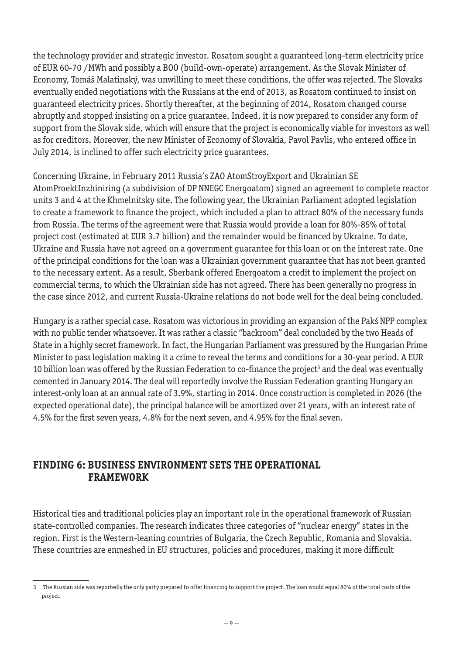the technology provider and strategic investor. Rosatom sought a guaranteed long-term electricity price of EUR 60-70 /MWh and possibly a BOO (build-own-operate) arrangement. As the Slovak Minister of Economy, Tomáš Malatinský, was unwilling to meet these conditions, the offer was rejected. The Slovaks eventually ended negotiations with the Russians at the end of 2013, as Rosatom continued to insist on guaranteed electricity prices. Shortly thereafter, at the beginning of 2014, Rosatom changed course abruptly and stopped insisting on a price guarantee. Indeed, it is now prepared to consider any form of support from the Slovak side, which will ensure that the project is economically viable for investors as well as for creditors. Moreover, the new Minister of Economy of Slovakia, Pavol Pavlis, who entered office in July 2014, is inclined to offer such electricity price guarantees.

Concerning Ukraine, in February 2011 Russia's ZAO AtomStroyExport and Ukrainian SE AtomProektInzhiniring (a subdivision of DP NNEGC Energoatom) signed an agreement to complete reactor units 3 and 4 at the Khmelnitsky site. The following year, the Ukrainian Parliament adopted legislation to create a framework to finance the project, which included a plan to attract 80% of the necessary funds from Russia. The terms of the agreement were that Russia would provide a loan for 80%-85% of total project cost (estimated at EUR 3.7 billion) and the remainder would be financed by Ukraine. To date, Ukraine and Russia have not agreed on a government guarantee for this loan or on the interest rate. One of the principal conditions for the loan was a Ukrainian government guarantee that has not been granted to the necessary extent. As a result, Sberbank offered Energoatom a credit to implement the project on commercial terms, to which the Ukrainian side has not agreed. There has been generally no progress in the case since 2012, and current Russia-Ukraine relations do not bode well for the deal being concluded.

Hungary is a rather special case. Rosatom was victorious in providing an expansion of the Pakś NPP complex with no public tender whatsoever. It was rather a classic "backroom" deal concluded by the two Heads of State in a highly secret framework. In fact, the Hungarian Parliament was pressured by the Hungarian Prime Minister to pass legislation making it a crime to reveal the terms and conditions for a 30-year period. A EUR 10 billion loan was offered by the Russian Federation to co-finance the project<sup>3</sup> and the deal was eventually cemented in January 2014. The deal will reportedly involve the Russian Federation granting Hungary an interest-only loan at an annual rate of 3.9%, starting in 2014. Once construction is completed in 2026 (the expected operational date), the principal balance will be amortized over 21 years, with an interest rate of 4.5% for the first seven years, 4.8% for the next seven, and 4.95% for the final seven.

#### **FINDING 6: BUSINESS ENVIRONMENT SETS THE OPERATIONAL FRAMEWORK**

Historical ties and traditional policies play an important role in the operational framework of Russian state-controlled companies. The research indicates three categories of "nuclear energy" states in the region. First is the Western-leaning countries of Bulgaria, the Czech Republic, Romania and Slovakia. These countries are enmeshed in EU structures, policies and procedures, making it more difficult

<sup>3</sup> The Russian side was reportedly the only party prepared to offer financing to support the project. The loan would equal 80% of the total costs of the project*.*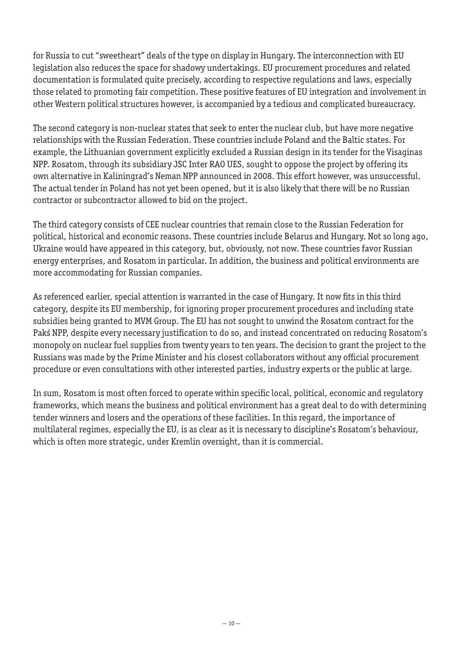for Russia to cut "sweetheart" deals of the type on display in Hungary. The interconnection with EU legislation also reduces the space for shadowy undertakings. EU procurement procedures and related documentation is formulated quite precisely, according to respective regulations and laws, especially those related to promoting fair competition. These positive features of EU integration and involvement in other Western political structures however, is accompanied by a tedious and complicated bureaucracy.

The second category is non-nuclear states that seek to enter the nuclear club, but have more negative relationships with the Russian Federation. These countries include Poland and the Baltic states. For example, the Lithuanian government explicitly excluded a Russian design in its tender for the Visaginas NPP. Rosatom, through its subsidiary JSC Inter RAO UES, sought to oppose the project by offering its own alternative in Kaliningrad's Neman NPP announced in 2008. This effort however, was unsuccessful. The actual tender in Poland has not yet been opened, but it is also likely that there will be no Russian contractor or subcontractor allowed to bid on the project.

The third category consists of CEE nuclear countries that remain close to the Russian Federation for political, historical and economic reasons. These countries include Belarus and Hungary. Not so long ago, Ukraine would have appeared in this category, but, obviously, not now. These countries favor Russian energy enterprises, and Rosatom in particular. In addition, the business and political environments are more accommodating for Russian companies.

As referenced earlier, special attention is warranted in the case of Hungary. It now fits in this third category, despite its EU membership, for ignoring proper procurement procedures and including state subsidies being granted to MVM Group. The EU has not sought to unwind the Rosatom contract for the Pakś NPP, despite every necessary justification to do so, and instead concentrated on reducing Rosatom's monopoly on nuclear fuel supplies from twenty years to ten years. The decision to grant the project to the Russians was made by the Prime Minister and his closest collaborators without any official procurement procedure or even consultations with other interested parties, industry experts or the public at large.

In sum, Rosatom is most often forced to operate within specific local, political, economic and regulatory frameworks, which means the business and political environment has a great deal to do with determining tender winners and losers and the operations of these facilities. In this regard, the importance of multilateral regimes, especially the EU, is as clear as it is necessary to discipline's Rosatom's behaviour, which is often more strategic, under Kremlin oversight, than it is commercial.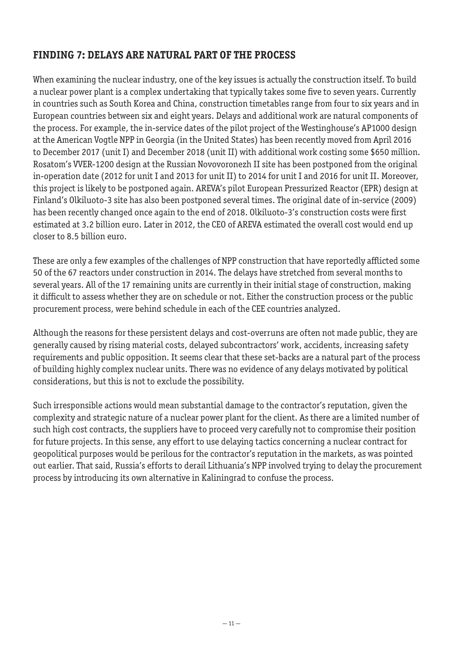# **FINDING 7: DELAYS ARE NATURAL PART OF THE PROCESS**

When examining the nuclear industry, one of the key issues is actually the construction itself. To build a nuclear power plant is a complex undertaking that typically takes some five to seven years. Currently in countries such as South Korea and China, construction timetables range from four to six years and in European countries between six and eight years. Delays and additional work are natural components of the process. For example, the in-service dates of the pilot project of the Westinghouse's AP1000 design at the American Vogtle NPP in Georgia (in the United States) has been recently moved from April 2016 to December 2017 (unit I) and December 2018 (unit II) with additional work costing some \$650 million. Rosatom's VVER-1200 design at the Russian Novovoronezh II site has been postponed from the original in-operation date (2012 for unit I and 2013 for unit II) to 2014 for unit I and 2016 for unit II. Moreover, this project is likely to be postponed again. AREVA's pilot European Pressurized Reactor (EPR) design at Finland's Olkiluoto-3 site has also been postponed several times. The original date of in-service (2009) has been recently changed once again to the end of 2018. Olkiluoto-3's construction costs were first estimated at 3.2 billion euro. Later in 2012, the CEO of AREVA estimated the overall cost would end up closer to 8.5 billion euro.

These are only a few examples of the challenges of NPP construction that have reportedly afflicted some 50 of the 67 reactors under construction in 2014. The delays have stretched from several months to several years. All of the 17 remaining units are currently in their initial stage of construction, making it difficult to assess whether they are on schedule or not. Either the construction process or the public procurement process, were behind schedule in each of the CEE countries analyzed.

Although the reasons for these persistent delays and cost-overruns are often not made public, they are generally caused by rising material costs, delayed subcontractors' work, accidents, increasing safety requirements and public opposition. It seems clear that these set-backs are a natural part of the process of building highly complex nuclear units. There was no evidence of any delays motivated by political considerations, but this is not to exclude the possibility.

Such irresponsible actions would mean substantial damage to the contractor's reputation, given the complexity and strategic nature of a nuclear power plant for the client. As there are a limited number of such high cost contracts, the suppliers have to proceed very carefully not to compromise their position for future projects. In this sense, any effort to use delaying tactics concerning a nuclear contract for geopolitical purposes would be perilous for the contractor's reputation in the markets, as was pointed out earlier. That said, Russia's efforts to derail Lithuania's NPP involved trying to delay the procurement process by introducing its own alternative in Kaliningrad to confuse the process.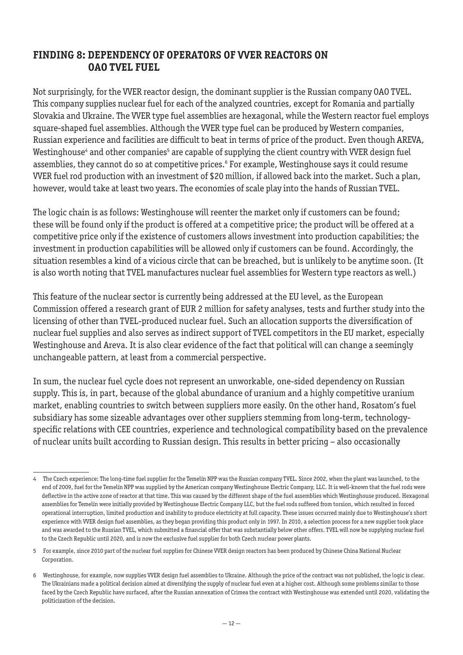#### **FINDING 8: DEPENDENCY OF OPERATORS OF VVER REACTORS ON OAO TVEL FUEL**

Not surprisingly, for the VVER reactor design, the dominant supplier is the Russian company OAO TVEL. This company supplies nuclear fuel for each of the analyzed countries, except for Romania and partially Slovakia and Ukraine. The VVER type fuel assemblies are hexagonal, while the Western reactor fuel employs square-shaped fuel assemblies. Although the VVER type fuel can be produced by Western companies, Russian experience and facilities are difficult to beat in terms of price of the product. Even though AREVA, Westinghouse<sup>4</sup> and other companies<sup>5</sup> are capable of supplying the client country with VVER design fuel assemblies, they cannot do so at competitive prices.<sup>6</sup> For example, Westinghouse says it could resume VVER fuel rod production with an investment of \$20 million, if allowed back into the market. Such a plan, however, would take at least two years. The economies of scale play into the hands of Russian TVEL.

The logic chain is as follows: Westinghouse will reenter the market only if customers can be found; these will be found only if the product is offered at a competitive price; the product will be offered at a competitive price only if the existence of customers allows investment into production capabilities; the investment in production capabilities will be allowed only if customers can be found. Accordingly, the situation resembles a kind of a vicious circle that can be breached, but is unlikely to be anytime soon. (It is also worth noting that TVEL manufactures nuclear fuel assemblies for Western type reactors as well.)

This feature of the nuclear sector is currently being addressed at the EU level, as the European Commission offered a research grant of EUR 2 million for safety analyses, tests and further study into the licensing of other than TVEL-produced nuclear fuel. Such an allocation supports the diversification of nuclear fuel supplies and also serves as indirect support of TVEL competitors in the EU market, especially Westinghouse and Areva. It is also clear evidence of the fact that political will can change a seemingly unchangeable pattern, at least from a commercial perspective.

In sum, the nuclear fuel cycle does not represent an unworkable, one-sided dependency on Russian supply. This is, in part, because of the global abundance of uranium and a highly competitive uranium market, enabling countries to switch between suppliers more easily. On the other hand, Rosatom's fuel subsidiary has some sizeable advantages over other suppliers stemming from long-term, technologyspecific relations with CEE countries, experience and technological compatibility based on the prevalence of nuclear units built according to Russian design. This results in better pricing – also occasionally

<sup>4</sup> The Czech experience: The long-time fuel supplier for the Temelín NPP was the Russian company TVEL. Since 2002, when the plant was launched, to the end of 2009, fuel for the Temelín NPP was supplied by the American company Westinghouse Electric Company, LLC. It is well-known that the fuel rods were deflective in the active zone of reactor at that time. This was caused by the different shape of the fuel assemblies which Westinghouse produced. Hexagonal assemblies for Temelín were initially provided by Westinghouse Electric Company LLC, but the fuel rods suffered from torsion, which resulted in forced operational interruption, limited production and inability to produce electricity at full capacity. These issues occurred mainly due to Westinghouse's short experience with VVER design fuel assemblies, as they began providing this product only in 1997. In 2010, a selection process for a new supplier took place and was awarded to the Russian TVEL, which submitted a financial offer that was substantially below other offers. TVEL will now be supplying nuclear fuel to the Czech Republic until 2020, and is now the exclusive fuel supplier for both Czech nuclear power plants.

<sup>5</sup> For example, since 2010 part of the nuclear fuel supplies for Chinese VVER design reactors has been produced by Chinese China National Nuclear Corporation.

<sup>6</sup> Westinghouse, for example, now supplies VVER design fuel assemblies to Ukraine. Although the price of the contract was not published, the logic is clear. The Ukrainians made a political decision aimed at diversifying the supply of nuclear fuel even at a higher cost. Although some problems similar to those faced by the Czech Republic have surfaced, after the Russian annexation of Crimea the contract with Westinghouse was extended until 2020, validating the politicization of the decision.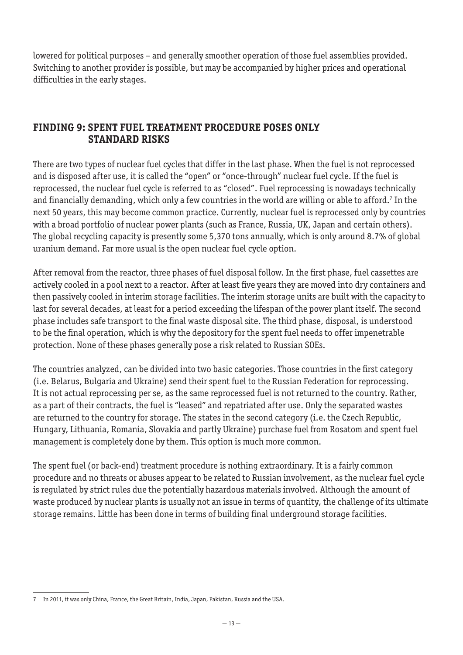lowered for political purposes – and generally smoother operation of those fuel assemblies provided. Switching to another provider is possible, but may be accompanied by higher prices and operational difficulties in the early stages.

#### **FINDING 9: SPENT FUEL TREATMENT PROCEDURE POSES ONLY STANDARD RISKS**

There are two types of nuclear fuel cycles that differ in the last phase. When the fuel is not reprocessed and is disposed after use, it is called the "open" or "once-through" nuclear fuel cycle. If the fuel is reprocessed, the nuclear fuel cycle is referred to as "closed". Fuel reprocessing is nowadays technically and financially demanding, which only a few countries in the world are willing or able to afford.' In the next 50 years, this may become common practice. Currently, nuclear fuel is reprocessed only by countries with a broad portfolio of nuclear power plants (such as France, Russia, UK, Japan and certain others). The global recycling capacity is presently some 5,370 tons annually, which is only around 8.7% of global uranium demand. Far more usual is the open nuclear fuel cycle option.

After removal from the reactor, three phases of fuel disposal follow. In the first phase, fuel cassettes are actively cooled in a pool next to a reactor. After at least five years they are moved into dry containers and then passively cooled in interim storage facilities. The interim storage units are built with the capacity to last for several decades, at least for a period exceeding the lifespan of the power plant itself. The second phase includes safe transport to the final waste disposal site. The third phase, disposal, is understood to be the final operation, which is why the depository for the spent fuel needs to offer impenetrable protection. None of these phases generally pose a risk related to Russian SOEs.

The countries analyzed, can be divided into two basic categories. Those countries in the first category (i.e. Belarus, Bulgaria and Ukraine) send their spent fuel to the Russian Federation for reprocessing. It is not actual reprocessing per se, as the same reprocessed fuel is not returned to the country. Rather, as a part of their contracts, the fuel is "leased" and repatriated after use. Only the separated wastes are returned to the country for storage. The states in the second category (i.e. the Czech Republic, Hungary, Lithuania, Romania, Slovakia and partly Ukraine) purchase fuel from Rosatom and spent fuel management is completely done by them. This option is much more common.

The spent fuel (or back-end) treatment procedure is nothing extraordinary. It is a fairly common procedure and no threats or abuses appear to be related to Russian involvement, as the nuclear fuel cycle is regulated by strict rules due the potentially hazardous materials involved. Although the amount of waste produced by nuclear plants is usually not an issue in terms of quantity, the challenge of its ultimate storage remains. Little has been done in terms of building final underground storage facilities.

<sup>7</sup> In 2011, it was only China, France, the Great Britain, India, Japan, Pakistan, Russia and the USA.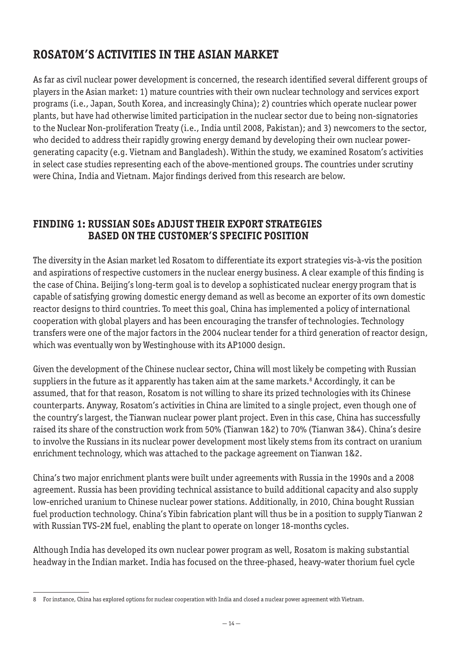# **ROSATOM'S ACTIVITIES IN THE ASIAN MARKET**

As far as civil nuclear power development is concerned, the research identified several different groups of players in the Asian market: 1) mature countries with their own nuclear technology and services export programs (i.e., Japan, South Korea, and increasingly China); 2) countries which operate nuclear power plants, but have had otherwise limited participation in the nuclear sector due to being non-signatories to the Nuclear Non-proliferation Treaty (i.e., India until 2008, Pakistan); and 3) newcomers to the sector, who decided to address their rapidly growing energy demand by developing their own nuclear powergenerating capacity (e.g. Vietnam and Bangladesh). Within the study, we examined Rosatom's activities in select case studies representing each of the above-mentioned groups. The countries under scrutiny were China, India and Vietnam. Major findings derived from this research are below.

# **FINDING 1: RUSSIAN SOEs ADJUST THEIR EXPORT STRATEGIES BASED ON THE CUSTOMER'S SPECIFIC POSITION**

The diversity in the Asian market led Rosatom to differentiate its export strategies vis-à-vis the position and aspirations of respective customers in the nuclear energy business. A clear example of this finding is the case of China. Beijing's long-term goal is to develop a sophisticated nuclear energy program that is capable of satisfying growing domestic energy demand as well as become an exporter of its own domestic reactor designs to third countries. To meet this goal, China has implemented a policy of international cooperation with global players and has been encouraging the transfer of technologies. Technology transfers were one of the major factors in the 2004 nuclear tender for a third generation of reactor design, which was eventually won by Westinghouse with its AP1000 design.

Given the development of the Chinese nuclear sector**,** China will most likely be competing with Russian suppliers in the future as it apparently has taken aim at the same markets.<sup>8</sup> Accordingly, it can be assumed, that for that reason, Rosatom is not willing to share its prized technologies with its Chinese counterparts. Anyway, Rosatom's activities in China are limited to a single project, even though one of the country's largest, the Tianwan nuclear power plant project. Even in this case, China has successfully raised its share of the construction work from 50% (Tianwan 1&2) to 70% (Tianwan 3&4). China's desire to involve the Russians in its nuclear power development most likely stems from its contract on uranium enrichment technology, which was attached to the package agreement on Tianwan 1&2.

China's two major enrichment plants were built under agreements with Russia in the 1990s and a 2008 agreement. Russia has been providing technical assistance to build additional capacity and also supply low-enriched uranium to Chinese nuclear power stations. Additionally, in 2010, China bought Russian fuel production technology. China's Yibin fabrication plant will thus be in a position to supply Tianwan 2 with Russian TVS-2M fuel, enabling the plant to operate on longer 18-months cycles.

Although India has developed its own nuclear power program as well, Rosatom is making substantial headway in the Indian market. India has focused on the three-phased, heavy-water thorium fuel cycle

<sup>8</sup> For instance, China has explored options for nuclear cooperation with India and closed a nuclear power agreement with Vietnam.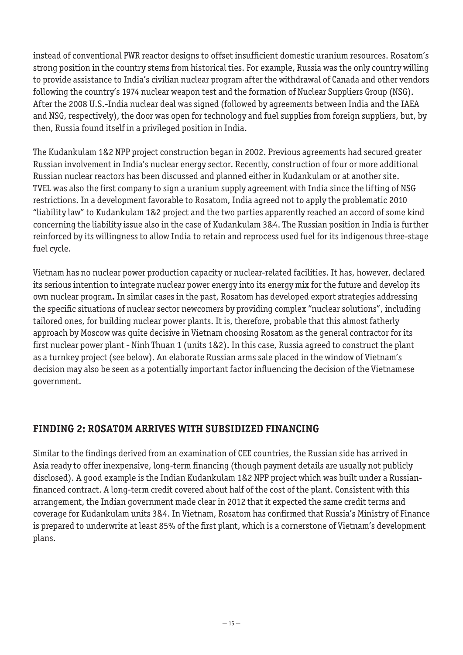instead of conventional PWR reactor designs to offset insufficient domestic uranium resources. Rosatom's strong position in the country stems from historical ties. For example, Russia was the only country willing to provide assistance to India's civilian nuclear program after the withdrawal of Canada and other vendors following the country's 1974 nuclear weapon test and the formation of Nuclear Suppliers Group (NSG). After the 2008 U.S.-India nuclear deal was signed (followed by agreements between India and the IAEA and NSG, respectively), the door was open for technology and fuel supplies from foreign suppliers, but, by then, Russia found itself in a privileged position in India.

The Kudankulam 1&2 NPP project construction began in 2002. Previous agreements had secured greater Russian involvement in India's nuclear energy sector. Recently, construction of four or more additional Russian nuclear reactors has been discussed and planned either in Kudankulam or at another site. TVEL was also the first company to sign a uranium supply agreement with India since the lifting of NSG restrictions. In a development favorable to Rosatom, India agreed not to apply the problematic 2010 "liability law" to Kudankulam 1&2 project and the two parties apparently reached an accord of some kind concerning the liability issue also in the case of Kudankulam 3&4. The Russian position in India is further reinforced by its willingness to allow India to retain and reprocess used fuel for its indigenous three-stage fuel cycle.

Vietnam has no nuclear power production capacity or nuclear-related facilities. It has, however, declared its serious intention to integrate nuclear power energy into its energy mix for the future and develop its own nuclear program**.** In similar cases in the past, Rosatom has developed export strategies addressing the specific situations of nuclear sector newcomers by providing complex "nuclear solutions", including tailored ones, for building nuclear power plants. It is, therefore, probable that this almost fatherly approach by Moscow was quite decisive in Vietnam choosing Rosatom as the general contractor for its first nuclear power plant - Ninh Thuan 1 (units 1&2). In this case, Russia agreed to construct the plant as a turnkey project (see below). An elaborate Russian arms sale placed in the window of Vietnam's decision may also be seen as a potentially important factor influencing the decision of the Vietnamese government.

## **FINDING 2: ROSATOM ARRIVES WITH SUBSIDIZED FINANCING**

Similar to the findings derived from an examination of CEE countries, the Russian side has arrived in Asia ready to offer inexpensive, long-term financing (though payment details are usually not publicly disclosed). A good example is the Indian Kudankulam 1&2 NPP project which was built under a Russianfinanced contract. A long-term credit covered about half of the cost of the plant. Consistent with this arrangement, the Indian government made clear in 2012 that it expected the same credit terms and coverage for Kudankulam units 3&4. In Vietnam, Rosatom has confirmed that Russia's Ministry of Finance is prepared to underwrite at least 85% of the first plant, which is a cornerstone of Vietnam's development plans.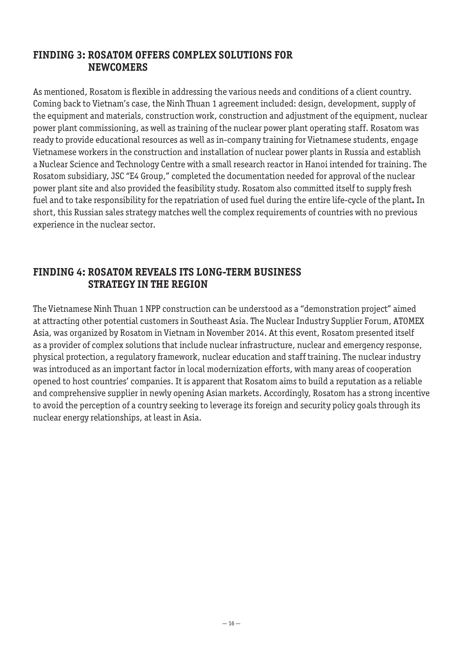#### **FINDING 3: ROSATOM OFFERS COMPLEX SOLUTIONS FOR NEWCOMERS**

As mentioned, Rosatom is flexible in addressing the various needs and conditions of a client country. Coming back to Vietnam's case, the Ninh Thuan 1 agreement included: design, development, supply of the equipment and materials, construction work, construction and adjustment of the equipment, nuclear power plant commissioning, as well as training of the nuclear power plant operating staff. Rosatom was ready to provide educational resources as well as in-company training for Vietnamese students, engage Vietnamese workers in the construction and installation of nuclear power plants in Russia and establish a Nuclear Science and Technology Centre with a small research reactor in Hanoi intended for training. The Rosatom subsidiary, JSC "E4 Group," completed the documentation needed for approval of the nuclear power plant site and also provided the feasibility study. Rosatom also committed itself to supply fresh fuel and to take responsibility for the repatriation of used fuel during the entire life-cycle of the plant**.** In short, this Russian sales strategy matches well the complex requirements of countries with no previous experience in the nuclear sector.

#### **FINDING 4: ROSATOM REVEALS ITS LONG-TERM BUSINESS STRATEGY IN THE REGION**

The Vietnamese Ninh Thuan 1 NPP construction can be understood as a "demonstration project" aimed at attracting other potential customers in Southeast Asia. The Nuclear Industry Supplier Forum, ATOMEX Asia, was organized by Rosatom in Vietnam in November 2014. At this event, Rosatom presented itself as a provider of complex solutions that include nuclear infrastructure, nuclear and emergency response, physical protection, a regulatory framework, nuclear education and staff training. The nuclear industry was introduced as an important factor in local modernization efforts, with many areas of cooperation opened to host countries' companies. It is apparent that Rosatom aims to build a reputation as a reliable and comprehensive supplier in newly opening Asian markets. Accordingly, Rosatom has a strong incentive to avoid the perception of a country seeking to leverage its foreign and security policy goals through its nuclear energy relationships, at least in Asia.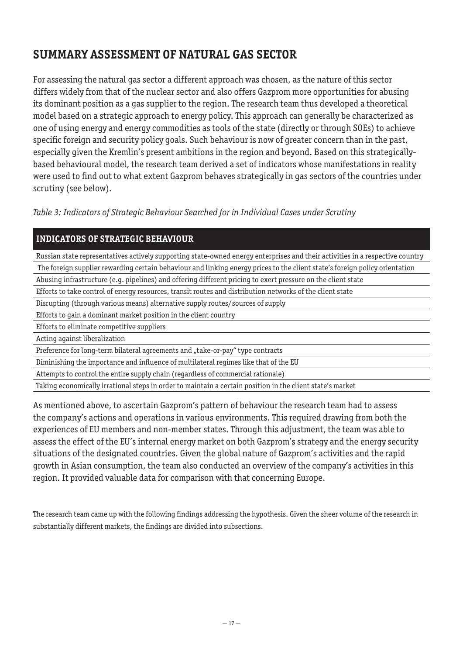# **SUMMARY ASSESSMENT OF NATURAL GAS SECTOR**

For assessing the natural gas sector a different approach was chosen, as the nature of this sector differs widely from that of the nuclear sector and also offers Gazprom more opportunities for abusing its dominant position as a gas supplier to the region. The research team thus developed a theoretical model based on a strategic approach to energy policy. This approach can generally be characterized as one of using energy and energy commodities as tools of the state (directly or through SOEs) to achieve specific foreign and security policy goals. Such behaviour is now of greater concern than in the past, especially given the Kremlin's present ambitions in the region and beyond. Based on this strategicallybased behavioural model, the research team derived a set of indicators whose manifestations in reality were used to find out to what extent Gazprom behaves strategically in gas sectors of the countries under scrutiny (see below).

*Table 3: Indicators of Strategic Behaviour Searched for in Individual Cases under Scrutiny*

#### **INDICATORS OF STRATEGIC BEHAVIOUR**

Russian state representatives actively supporting state-owned energy enterprises and their activities in a respective country The foreign supplier rewarding certain behaviour and linking energy prices to the client state's foreign policy orientation

Abusing infrastructure (e.g. pipelines) and offering different pricing to exert pressure on the client state

- Efforts to take control of energy resources, transit routes and distribution networks of the client state
- Disrupting (through various means) alternative supply routes/sources of supply
- Efforts to gain a dominant market position in the client country
- Efforts to eliminate competitive suppliers

Acting against liberalization

Preference for long-term bilateral agreements and "take-or-pay" type contracts

Diminishing the importance and influence of multilateral regimes like that of the EU

Attempts to control the entire supply chain (regardless of commercial rationale)

Taking economically irrational steps in order to maintain a certain position in the client state's market

As mentioned above, to ascertain Gazprom's pattern of behaviour the research team had to assess the company's actions and operations in various environments. This required drawing from both the experiences of EU members and non-member states. Through this adjustment, the team was able to assess the effect of the EU's internal energy market on both Gazprom's strategy and the energy security situations of the designated countries. Given the global nature of Gazprom's activities and the rapid growth in Asian consumption, the team also conducted an overview of the company's activities in this region. It provided valuable data for comparison with that concerning Europe.

The research team came up with the following findings addressing the hypothesis. Given the sheer volume of the research in substantially different markets, the findings are divided into subsections.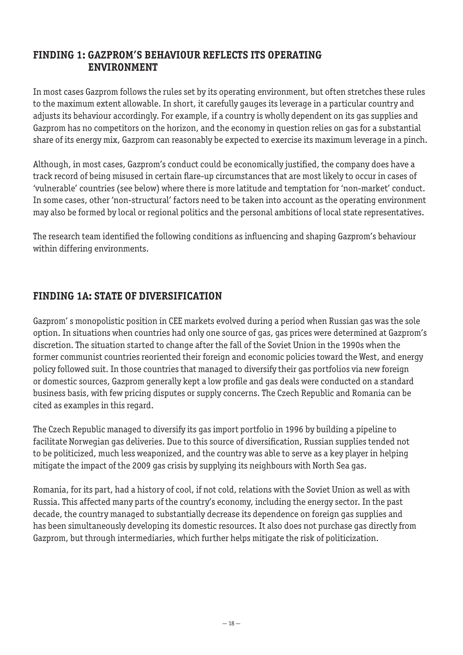### **FINDING 1: GAZPROM'S BEHAVIOUR REFLECTS ITS OPERATING ENVIRONMENT**

In most cases Gazprom follows the rules set by its operating environment, but often stretches these rules to the maximum extent allowable. In short, it carefully gauges its leverage in a particular country and adjusts its behaviour accordingly. For example, if a country is wholly dependent on its gas supplies and Gazprom has no competitors on the horizon, and the economy in question relies on gas for a substantial share of its energy mix, Gazprom can reasonably be expected to exercise its maximum leverage in a pinch.

Although, in most cases, Gazprom's conduct could be economically justified, the company does have a track record of being misused in certain flare-up circumstances that are most likely to occur in cases of 'vulnerable' countries (see below) where there is more latitude and temptation for 'non-market' conduct. In some cases, other 'non-structural' factors need to be taken into account as the operating environment may also be formed by local or regional politics and the personal ambitions of local state representatives.

The research team identified the following conditions as influencing and shaping Gazprom's behaviour within differing environments.

# **FINDING 1A: STATE OF DIVERSIFICATION**

Gazprom' s monopolistic position in CEE markets evolved during a period when Russian gas was the sole option. In situations when countries had only one source of gas, gas prices were determined at Gazprom's discretion. The situation started to change after the fall of the Soviet Union in the 1990s when the former communist countries reoriented their foreign and economic policies toward the West, and energy policy followed suit. In those countries that managed to diversify their gas portfolios via new foreign or domestic sources, Gazprom generally kept a low profile and gas deals were conducted on a standard business basis, with few pricing disputes or supply concerns. The Czech Republic and Romania can be cited as examples in this regard.

The Czech Republic managed to diversify its gas import portfolio in 1996 by building a pipeline to facilitate Norwegian gas deliveries. Due to this source of diversification, Russian supplies tended not to be politicized, much less weaponized, and the country was able to serve as a key player in helping mitigate the impact of the 2009 gas crisis by supplying its neighbours with North Sea gas.

Romania, for its part, had a history of cool, if not cold, relations with the Soviet Union as well as with Russia. This affected many parts of the country's economy, including the energy sector. In the past decade, the country managed to substantially decrease its dependence on foreign gas supplies and has been simultaneously developing its domestic resources. It also does not purchase gas directly from Gazprom, but through intermediaries, which further helps mitigate the risk of politicization.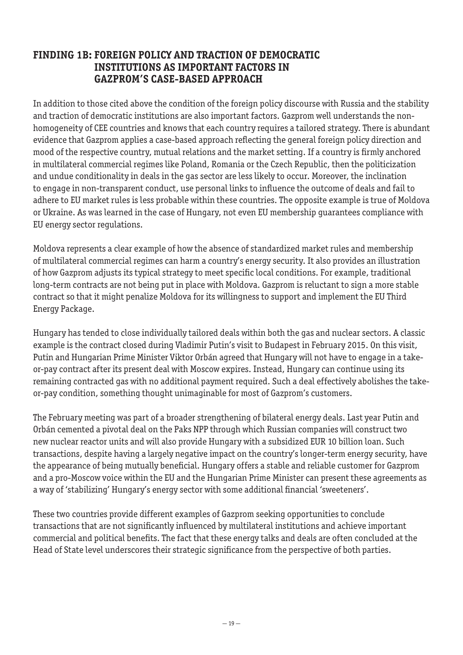### **FINDING 1B: FOREIGN POLICY AND TRACTION OF DEMOCRATIC INSTITUTIONS AS IMPORTANT FACTORS IN GAZPROM'S CASE-BASED APPROACH**

In addition to those cited above the condition of the foreign policy discourse with Russia and the stability and traction of democratic institutions are also important factors. Gazprom well understands the nonhomogeneity of CEE countries and knows that each country requires a tailored strategy. There is abundant evidence that Gazprom applies a case-based approach reflecting the general foreign policy direction and mood of the respective country, mutual relations and the market setting. If a country is firmly anchored in multilateral commercial regimes like Poland, Romania or the Czech Republic, then the politicization and undue conditionality in deals in the gas sector are less likely to occur. Moreover, the inclination to engage in non-transparent conduct, use personal links to influence the outcome of deals and fail to adhere to EU market rules is less probable within these countries. The opposite example is true of Moldova or Ukraine. As was learned in the case of Hungary, not even EU membership guarantees compliance with EU energy sector regulations.

Moldova represents a clear example of how the absence of standardized market rules and membership of multilateral commercial regimes can harm a country's energy security. It also provides an illustration of how Gazprom adjusts its typical strategy to meet specific local conditions. For example, traditional long-term contracts are not being put in place with Moldova. Gazprom is reluctant to sign a more stable contract so that it might penalize Moldova for its willingness to support and implement the EU Third Energy Package.

Hungary has tended to close individually tailored deals within both the gas and nuclear sectors. A classic example is the contract closed during Vladimir Putin's visit to Budapest in February 2015. On this visit, Putin and Hungarian Prime Minister Viktor Orbán agreed that Hungary will not have to engage in a takeor-pay contract after its present deal with Moscow expires. Instead, Hungary can continue using its remaining contracted gas with no additional payment required. Such a deal effectively abolishes the takeor-pay condition, something thought unimaginable for most of Gazprom's customers.

The February meeting was part of a broader strengthening of bilateral energy deals. Last year Putin and Orbán cemented a pivotal deal on the Paks NPP through which Russian companies will construct two new nuclear reactor units and will also provide Hungary with a subsidized EUR 10 billion loan. Such transactions, despite having a largely negative impact on the country's longer-term energy security, have the appearance of being mutually beneficial. Hungary offers a stable and reliable customer for Gazprom and a pro-Moscow voice within the EU and the Hungarian Prime Minister can present these agreements as a way of 'stabilizing' Hungary's energy sector with some additional financial 'sweeteners'.

These two countries provide different examples of Gazprom seeking opportunities to conclude transactions that are not significantly influenced by multilateral institutions and achieve important commercial and political benefits. The fact that these energy talks and deals are often concluded at the Head of State level underscores their strategic significance from the perspective of both parties.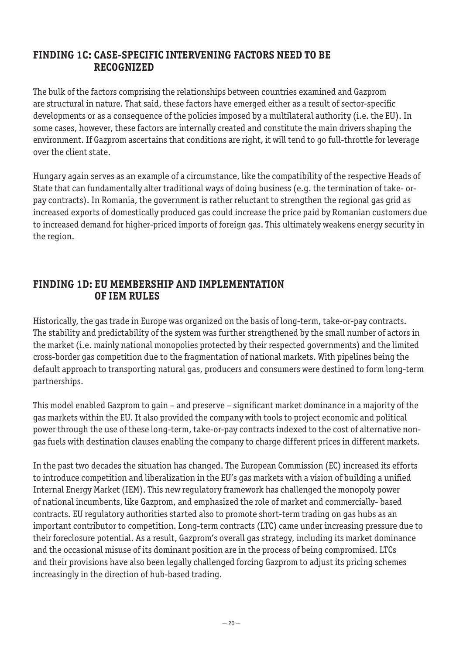## **FINDING 1C: CASE-SPECIFIC INTERVENING FACTORS NEED TO BE RECOGNIZED**

The bulk of the factors comprising the relationships between countries examined and Gazprom are structural in nature. That said, these factors have emerged either as a result of sector-specific developments or as a consequence of the policies imposed by a multilateral authority (i.e. the EU). In some cases, however, these factors are internally created and constitute the main drivers shaping the environment. If Gazprom ascertains that conditions are right, it will tend to go full-throttle for leverage over the client state.

Hungary again serves as an example of a circumstance, like the compatibility of the respective Heads of State that can fundamentally alter traditional ways of doing business (e.g. the termination of take- orpay contracts). In Romania, the government is rather reluctant to strengthen the regional gas grid as increased exports of domestically produced gas could increase the price paid by Romanian customers due to increased demand for higher-priced imports of foreign gas. This ultimately weakens energy security in the region.

#### **FINDING 1D: EU MEMBERSHIP AND IMPLEMENTATION OF IEM RULES**

Historically, the gas trade in Europe was organized on the basis of long-term, take-or-pay contracts. The stability and predictability of the system was further strengthened by the small number of actors in the market (i.e. mainly national monopolies protected by their respected governments) and the limited cross-border gas competition due to the fragmentation of national markets. With pipelines being the default approach to transporting natural gas, producers and consumers were destined to form long-term partnerships.

This model enabled Gazprom to gain – and preserve – significant market dominance in a majority of the gas markets within the EU. It also provided the company with tools to project economic and political power through the use of these long-term, take-or-pay contracts indexed to the cost of alternative nongas fuels with destination clauses enabling the company to charge different prices in different markets.

In the past two decades the situation has changed. The European Commission (EC) increased its efforts to introduce competition and liberalization in the EU's gas markets with a vision of building a unified Internal Energy Market (IEM). This new regulatory framework has challenged the monopoly power of national incumbents, like Gazprom, and emphasized the role of market and commercially- based contracts. EU regulatory authorities started also to promote short-term trading on gas hubs as an important contributor to competition. Long-term contracts (LTC) came under increasing pressure due to their foreclosure potential. As a result, Gazprom's overall gas strategy, including its market dominance and the occasional misuse of its dominant position are in the process of being compromised. LTCs and their provisions have also been legally challenged forcing Gazprom to adjust its pricing schemes increasingly in the direction of hub-based trading.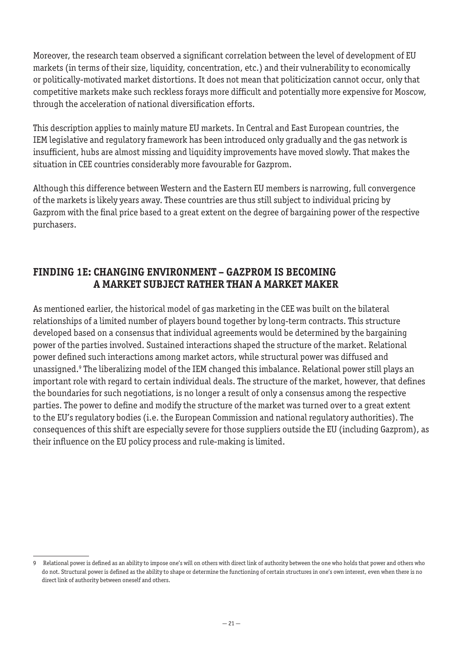Moreover, the research team observed a significant correlation between the level of development of EU markets (in terms of their size, liquidity, concentration, etc.) and their vulnerability to economically or politically-motivated market distortions. It does not mean that politicization cannot occur, only that competitive markets make such reckless forays more difficult and potentially more expensive for Moscow, through the acceleration of national diversification efforts.

This description applies to mainly mature EU markets. In Central and East European countries, the IEM legislative and regulatory framework has been introduced only gradually and the gas network is insufficient, hubs are almost missing and liquidity improvements have moved slowly. That makes the situation in CEE countries considerably more favourable for Gazprom.

Although this difference between Western and the Eastern EU members is narrowing, full convergence of the markets is likely years away. These countries are thus still subject to individual pricing by Gazprom with the final price based to a great extent on the degree of bargaining power of the respective purchasers.

## **FINDING 1E: CHANGING ENVIRONMENT – GAZPROM IS BECOMING A MARKET SUBJECT RATHER THAN A MARKET MAKER**

As mentioned earlier, the historical model of gas marketing in the CEE was built on the bilateral relationships of a limited number of players bound together by long-term contracts. This structure developed based on a consensus that individual agreements would be determined by the bargaining power of the parties involved. Sustained interactions shaped the structure of the market. Relational power defined such interactions among market actors, while structural power was diffused and unassigned.9 The liberalizing model of the IEM changed this imbalance. Relational power still plays an important role with regard to certain individual deals. The structure of the market, however, that defines the boundaries for such negotiations, is no longer a result of only a consensus among the respective parties. The power to define and modify the structure of the market was turned over to a great extent to the EU's regulatory bodies (i.e. the European Commission and national regulatory authorities). The consequences of this shift are especially severe for those suppliers outside the EU (including Gazprom), as their influence on the EU policy process and rule-making is limited.

<sup>9</sup> Relational power is defined as an ability to impose one's will on others with direct link of authority between the one who holds that power and others who do not. Structural power is defined as the ability to shape or determine the functioning of certain structures in one's own interest, even when there is no direct link of authority between oneself and others.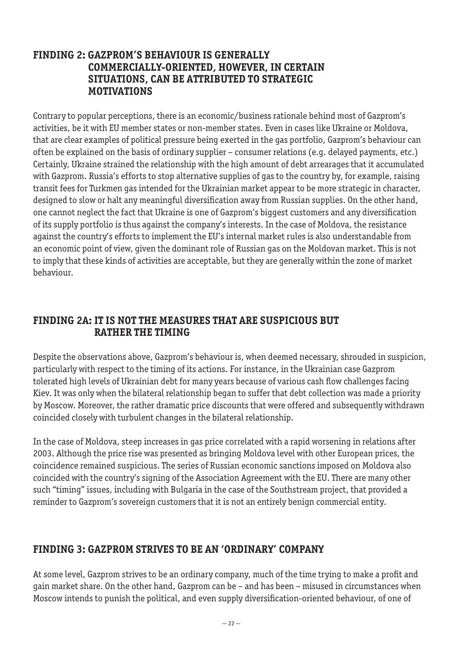#### **FINDING 2: GAZPROM'S BEHAVIOUR IS GENERALLY COMMERCIALLY-ORIENTED, HOWEVER, IN CERTAIN SITUATIONS, CAN BE ATTRIBUTED TO STRATEGIC MOTIVATIONS**

Contrary to popular perceptions, there is an economic/business rationale behind most of Gazprom's activities, be it with EU member states or non-member states. Even in cases like Ukraine or Moldova, that are clear examples of political pressure being exerted in the gas portfolio, Gazprom's behaviour can often be explained on the basis of ordinary supplier – consumer relations (e.g. delayed payments, etc.) Certainly, Ukraine strained the relationship with the high amount of debt arrearages that it accumulated with Gazprom. Russia's efforts to stop alternative supplies of gas to the country by, for example, raising transit fees for Turkmen gas intended for the Ukrainian market appear to be more strategic in character, designed to slow or halt any meaningful diversification away from Russian supplies. On the other hand, one cannot neglect the fact that Ukraine is one of Gazprom's biggest customers and any diversification of its supply portfolio is thus against the company's interests. In the case of Moldova, the resistance against the country's efforts to implement the EU's internal market rules is also understandable from an economic point of view, given the dominant role of Russian gas on the Moldovan market. This is not to imply that these kinds of activities are acceptable, but they are generally within the zone of market behaviour.

#### **FINDING 2A: IT IS NOT THE MEASURES THAT ARE SUSPICIOUS BUT RATHER THE TIMING**

Despite the observations above, Gazprom's behaviour is, when deemed necessary, shrouded in suspicion, particularly with respect to the timing of its actions. For instance, in the Ukrainian case Gazprom tolerated high levels of Ukrainian debt for many years because of various cash flow challenges facing Kiev. It was only when the bilateral relationship began to suffer that debt collection was made a priority by Moscow. Moreover, the rather dramatic price discounts that were offered and subsequently withdrawn coincided closely with turbulent changes in the bilateral relationship.

In the case of Moldova, steep increases in gas price correlated with a rapid worsening in relations after 2003. Although the price rise was presented as bringing Moldova level with other European prices, the coincidence remained suspicious. The series of Russian economic sanctions imposed on Moldova also coincided with the country's signing of the Association Agreement with the EU. There are many other such "timing" issues, including with Bulgaria in the case of the Southstream project, that provided a reminder to Gazprom's sovereign customers that it is not an entirely benign commercial entity.

## **FINDING 3: GAZPROM STRIVES TO BE AN 'ORDINARY' COMPANY**

At some level, Gazprom strives to be an ordinary company, much of the time trying to make a profit and gain market share. On the other hand, Gazprom can be – and has been – misused in circumstances when Moscow intends to punish the political, and even supply diversification-oriented behaviour, of one of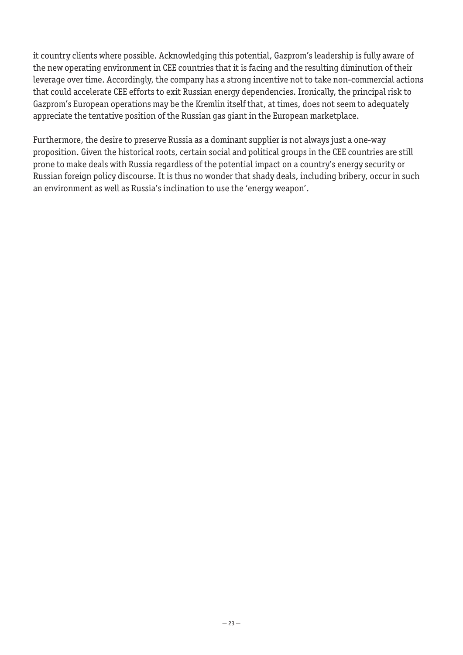it country clients where possible. Acknowledging this potential, Gazprom's leadership is fully aware of the new operating environment in CEE countries that it is facing and the resulting diminution of their leverage over time. Accordingly, the company has a strong incentive not to take non-commercial actions that could accelerate CEE efforts to exit Russian energy dependencies. Ironically, the principal risk to Gazprom's European operations may be the Kremlin itself that, at times, does not seem to adequately appreciate the tentative position of the Russian gas giant in the European marketplace.

Furthermore, the desire to preserve Russia as a dominant supplier is not always just a one-way proposition. Given the historical roots, certain social and political groups in the CEE countries are still prone to make deals with Russia regardless of the potential impact on a country's energy security or Russian foreign policy discourse. It is thus no wonder that shady deals, including bribery, occur in such an environment as well as Russia's inclination to use the 'energy weapon'.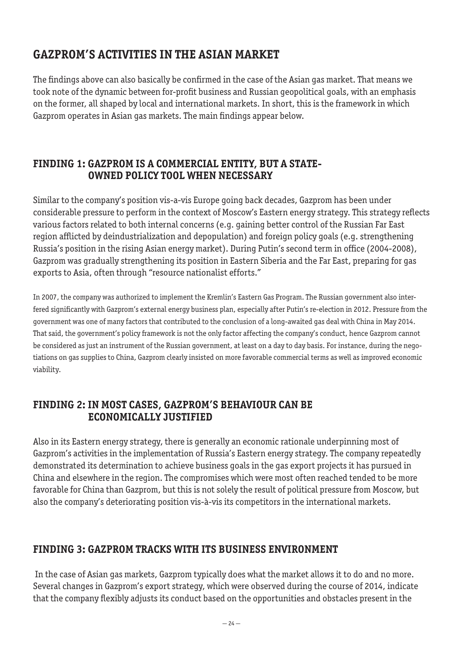# **GAZPROM'S ACTIVITIES IN THE ASIAN MARKET**

The findings above can also basically be confirmed in the case of the Asian gas market. That means we took note of the dynamic between for-profit business and Russian geopolitical goals, with an emphasis on the former, all shaped by local and international markets. In short, this is the framework in which Gazprom operates in Asian gas markets. The main findings appear below.

## **FINDING 1: GAZPROM IS A COMMERCIAL ENTITY, BUT A STATE-OWNED POLICY TOOL WHEN NECESSARY**

Similar to the company's position vis-a-vis Europe going back decades, Gazprom has been under considerable pressure to perform in the context of Moscow's Eastern energy strategy. This strategy reflects various factors related to both internal concerns (e.g. gaining better control of the Russian Far East region afflicted by deindustrialization and depopulation) and foreign policy goals (e.g. strengthening Russia's position in the rising Asian energy market). During Putin's second term in office (2004-2008), Gazprom was gradually strengthening its position in Eastern Siberia and the Far East, preparing for gas exports to Asia, often through "resource nationalist efforts."

In 2007, the company was authorized to implement the Kremlin's Eastern Gas Program. The Russian government also interfered significantly with Gazprom's external energy business plan, especially after Putin's re-election in 2012. Pressure from the government was one of many factors that contributed to the conclusion of a long-awaited gas deal with China in May 2014. That said, the government's policy framework is not the only factor affecting the company's conduct, hence Gazprom cannot be considered as just an instrument of the Russian government, at least on a day to day basis. For instance, during the negotiations on gas supplies to China, Gazprom clearly insisted on more favorable commercial terms as well as improved economic viability.

# **FINDING 2: IN MOST CASES, GAZPROM'S BEHAVIOUR CAN BE ECONOMICALLY JUSTIFIED**

Also in its Eastern energy strategy, there is generally an economic rationale underpinning most of Gazprom's activities in the implementation of Russia's Eastern energy strategy. The company repeatedly demonstrated its determination to achieve business goals in the gas export projects it has pursued in China and elsewhere in the region. The compromises which were most often reached tended to be more favorable for China than Gazprom, but this is not solely the result of political pressure from Moscow, but also the company's deteriorating position vis-à-vis its competitors in the international markets.

# **FINDING 3: GAZPROM TRACKS WITH ITS BUSINESS ENVIRONMENT**

 In the case of Asian gas markets, Gazprom typically does what the market allows it to do and no more. Several changes in Gazprom's export strategy, which were observed during the course of 2014, indicate that the company flexibly adjusts its conduct based on the opportunities and obstacles present in the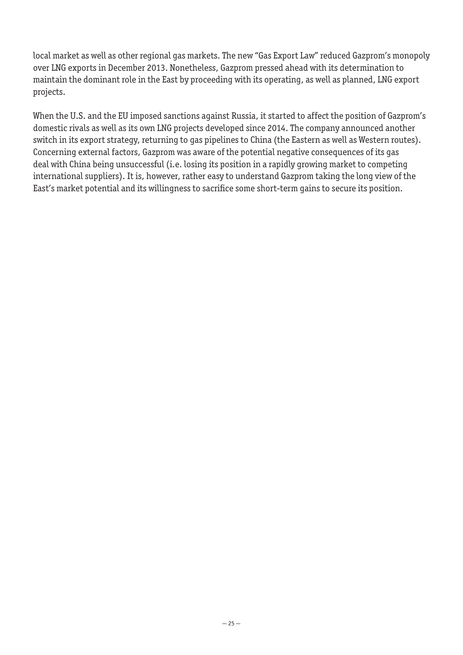local market as well as other regional gas markets. The new "Gas Export Law" reduced Gazprom's monopoly over LNG exports in December 2013. Nonetheless, Gazprom pressed ahead with its determination to maintain the dominant role in the East by proceeding with its operating, as well as planned, LNG export projects.

When the U.S. and the EU imposed sanctions against Russia, it started to affect the position of Gazprom's domestic rivals as well as its own LNG projects developed since 2014. The company announced another switch in its export strategy, returning to gas pipelines to China (the Eastern as well as Western routes). Concerning external factors, Gazprom was aware of the potential negative consequences of its gas deal with China being unsuccessful (i.e. losing its position in a rapidly growing market to competing international suppliers). It is, however, rather easy to understand Gazprom taking the long view of the East's market potential and its willingness to sacrifice some short-term gains to secure its position.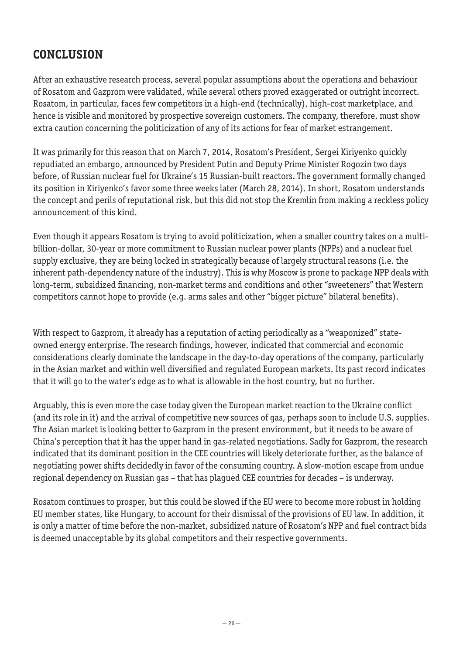# **CONCLUSION**

After an exhaustive research process, several popular assumptions about the operations and behaviour of Rosatom and Gazprom were validated, while several others proved exaggerated or outright incorrect. Rosatom, in particular, faces few competitors in a high-end (technically), high-cost marketplace, and hence is visible and monitored by prospective sovereign customers. The company, therefore, must show extra caution concerning the politicization of any of its actions for fear of market estrangement.

It was primarily for this reason that on March 7, 2014, Rosatom's President, Sergei Kiriyenko quickly repudiated an embargo, announced by President Putin and Deputy Prime Minister Rogozin two days before, of Russian nuclear fuel for Ukraine's 15 Russian-built reactors. The government formally changed its position in Kiriyenko's favor some three weeks later (March 28, 2014). In short, Rosatom understands the concept and perils of reputational risk, but this did not stop the Kremlin from making a reckless policy announcement of this kind.

Even though it appears Rosatom is trying to avoid politicization, when a smaller country takes on a multibillion-dollar, 30-year or more commitment to Russian nuclear power plants (NPPs) and a nuclear fuel supply exclusive, they are being locked in strategically because of largely structural reasons (i.e. the inherent path-dependency nature of the industry). This is why Moscow is prone to package NPP deals with long-term, subsidized financing, non-market terms and conditions and other "sweeteners" that Western competitors cannot hope to provide (e.g. arms sales and other "bigger picture" bilateral benefits).

With respect to Gazprom, it already has a reputation of acting periodically as a "weaponized" stateowned energy enterprise. The research findings, however, indicated that commercial and economic considerations clearly dominate the landscape in the day-to-day operations of the company, particularly in the Asian market and within well diversified and regulated European markets. Its past record indicates that it will go to the water's edge as to what is allowable in the host country, but no further.

Arguably, this is even more the case today given the European market reaction to the Ukraine conflict (and its role in it) and the arrival of competitive new sources of gas, perhaps soon to include U.S. supplies. The Asian market is looking better to Gazprom in the present environment, but it needs to be aware of China's perception that it has the upper hand in gas-related negotiations. Sadly for Gazprom, the research indicated that its dominant position in the CEE countries will likely deteriorate further, as the balance of negotiating power shifts decidedly in favor of the consuming country. A slow-motion escape from undue regional dependency on Russian gas – that has plagued CEE countries for decades – is underway.

Rosatom continues to prosper, but this could be slowed if the EU were to become more robust in holding EU member states, like Hungary, to account for their dismissal of the provisions of EU law. In addition, it is only a matter of time before the non-market, subsidized nature of Rosatom's NPP and fuel contract bids is deemed unacceptable by its global competitors and their respective governments.